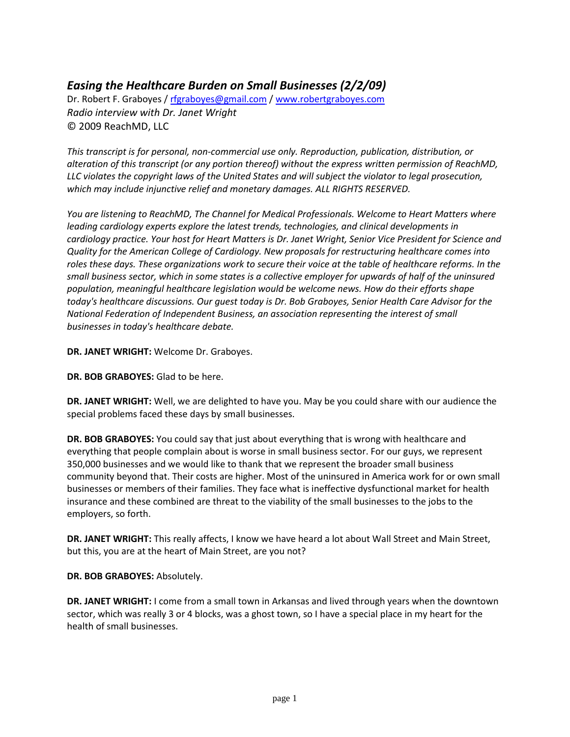## *Easing the Healthcare Burden on Small Businesses (2/2/09)*

Dr. Robert F. Graboyes / [rfgraboyes@gmail.com](mailto:rfgraboyes@gmail.com) / [www.robertgraboyes.com](http://www.robertgraboyes.com/) *Radio interview with Dr. Janet Wright* © 2009 ReachMD, LLC

*This transcript is for personal, non-commercial use only. Reproduction, publication, distribution, or alteration of this transcript (or any portion thereof) without the express written permission of ReachMD, LLC violates the copyright laws of the United States and will subject the violator to legal prosecution, which may include injunctive relief and monetary damages. ALL RIGHTS RESERVED.*

*You are listening to ReachMD, The Channel for Medical Professionals. Welcome to Heart Matters where leading cardiology experts explore the latest trends, technologies, and clinical developments in cardiology practice. Your host for Heart Matters is Dr. Janet Wright, Senior Vice President for Science and Quality for the American College of Cardiology. New proposals for restructuring healthcare comes into roles these days. These organizations work to secure their voice at the table of healthcare reforms. In the small business sector, which in some states is a collective employer for upwards of half of the uninsured population, meaningful healthcare legislation would be welcome news. How do their efforts shape today's healthcare discussions. Our guest today is Dr. Bob Graboyes, Senior Health Care Advisor for the National Federation of Independent Business, an association representing the interest of small businesses in today's healthcare debate.*

**DR. JANET WRIGHT:** Welcome Dr. Graboyes.

**DR. BOB GRABOYES:** Glad to be here.

**DR. JANET WRIGHT:** Well, we are delighted to have you. May be you could share with our audience the special problems faced these days by small businesses.

**DR. BOB GRABOYES:** You could say that just about everything that is wrong with healthcare and everything that people complain about is worse in small business sector. For our guys, we represent 350,000 businesses and we would like to thank that we represent the broader small business community beyond that. Their costs are higher. Most of the uninsured in America work for or own small businesses or members of their families. They face what is ineffective dysfunctional market for health insurance and these combined are threat to the viability of the small businesses to the jobs to the employers, so forth.

DR. JANET WRIGHT: This really affects, I know we have heard a lot about Wall Street and Main Street, but this, you are at the heart of Main Street, are you not?

## **DR. BOB GRABOYES:** Absolutely.

**DR. JANET WRIGHT:** I come from a small town in Arkansas and lived through years when the downtown sector, which was really 3 or 4 blocks, was a ghost town, so I have a special place in my heart for the health of small businesses.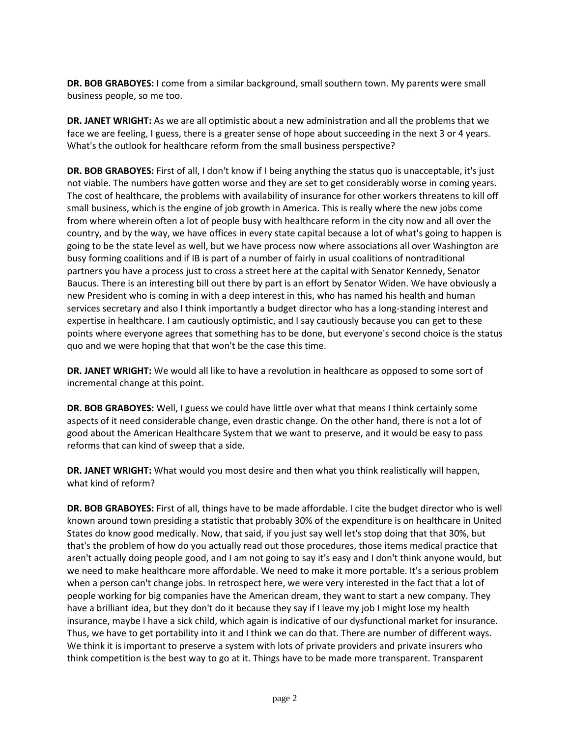**DR. BOB GRABOYES:** I come from a similar background, small southern town. My parents were small business people, so me too.

**DR. JANET WRIGHT:** As we are all optimistic about a new administration and all the problems that we face we are feeling, I guess, there is a greater sense of hope about succeeding in the next 3 or 4 years. What's the outlook for healthcare reform from the small business perspective?

**DR. BOB GRABOYES:** First of all, I don't know if I being anything the status quo is unacceptable, it's just not viable. The numbers have gotten worse and they are set to get considerably worse in coming years. The cost of healthcare, the problems with availability of insurance for other workers threatens to kill off small business, which is the engine of job growth in America. This is really where the new jobs come from where wherein often a lot of people busy with healthcare reform in the city now and all over the country, and by the way, we have offices in every state capital because a lot of what's going to happen is going to be the state level as well, but we have process now where associations all over Washington are busy forming coalitions and if IB is part of a number of fairly in usual coalitions of nontraditional partners you have a process just to cross a street here at the capital with Senator Kennedy, Senator Baucus. There is an interesting bill out there by part is an effort by Senator Widen. We have obviously a new President who is coming in with a deep interest in this, who has named his health and human services secretary and also I think importantly a budget director who has a long-standing interest and expertise in healthcare. I am cautiously optimistic, and I say cautiously because you can get to these points where everyone agrees that something has to be done, but everyone's second choice is the status quo and we were hoping that that won't be the case this time.

**DR. JANET WRIGHT:** We would all like to have a revolution in healthcare as opposed to some sort of incremental change at this point.

**DR. BOB GRABOYES:** Well, I guess we could have little over what that means I think certainly some aspects of it need considerable change, even drastic change. On the other hand, there is not a lot of good about the American Healthcare System that we want to preserve, and it would be easy to pass reforms that can kind of sweep that a side.

**DR. JANET WRIGHT:** What would you most desire and then what you think realistically will happen, what kind of reform?

**DR. BOB GRABOYES:** First of all, things have to be made affordable. I cite the budget director who is well known around town presiding a statistic that probably 30% of the expenditure is on healthcare in United States do know good medically. Now, that said, if you just say well let's stop doing that that 30%, but that's the problem of how do you actually read out those procedures, those items medical practice that aren't actually doing people good, and I am not going to say it's easy and I don't think anyone would, but we need to make healthcare more affordable. We need to make it more portable. It's a serious problem when a person can't change jobs. In retrospect here, we were very interested in the fact that a lot of people working for big companies have the American dream, they want to start a new company. They have a brilliant idea, but they don't do it because they say if I leave my job I might lose my health insurance, maybe I have a sick child, which again is indicative of our dysfunctional market for insurance. Thus, we have to get portability into it and I think we can do that. There are number of different ways. We think it is important to preserve a system with lots of private providers and private insurers who think competition is the best way to go at it. Things have to be made more transparent. Transparent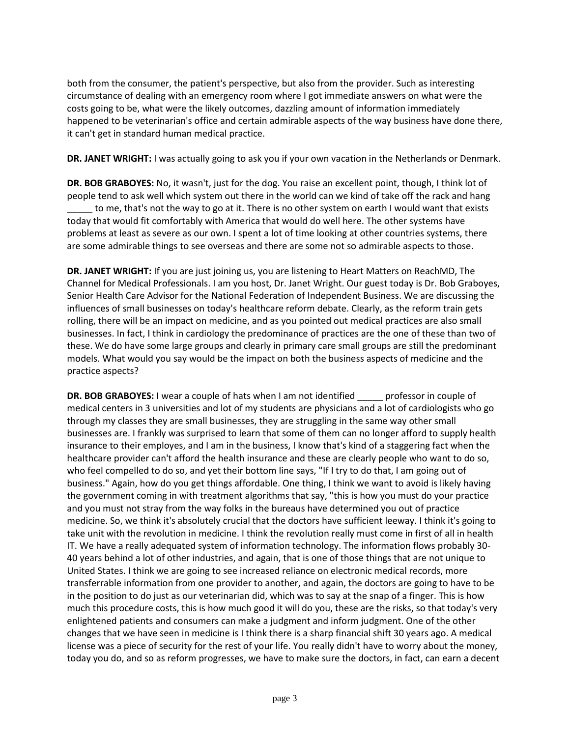both from the consumer, the patient's perspective, but also from the provider. Such as interesting circumstance of dealing with an emergency room where I got immediate answers on what were the costs going to be, what were the likely outcomes, dazzling amount of information immediately happened to be veterinarian's office and certain admirable aspects of the way business have done there, it can't get in standard human medical practice.

**DR. JANET WRIGHT:** I was actually going to ask you if your own vacation in the Netherlands or Denmark.

**DR. BOB GRABOYES:** No, it wasn't, just for the dog. You raise an excellent point, though, I think lot of people tend to ask well which system out there in the world can we kind of take off the rack and hang to me, that's not the way to go at it. There is no other system on earth I would want that exists today that would fit comfortably with America that would do well here. The other systems have problems at least as severe as our own. I spent a lot of time looking at other countries systems, there are some admirable things to see overseas and there are some not so admirable aspects to those.

**DR. JANET WRIGHT:** If you are just joining us, you are listening to Heart Matters on ReachMD, The Channel for Medical Professionals. I am you host, Dr. Janet Wright. Our guest today is Dr. Bob Graboyes, Senior Health Care Advisor for the National Federation of Independent Business. We are discussing the influences of small businesses on today's healthcare reform debate. Clearly, as the reform train gets rolling, there will be an impact on medicine, and as you pointed out medical practices are also small businesses. In fact, I think in cardiology the predominance of practices are the one of these than two of these. We do have some large groups and clearly in primary care small groups are still the predominant models. What would you say would be the impact on both the business aspects of medicine and the practice aspects?

**DR. BOB GRABOYES:** I wear a couple of hats when I am not identified professor in couple of medical centers in 3 universities and lot of my students are physicians and a lot of cardiologists who go through my classes they are small businesses, they are struggling in the same way other small businesses are. I frankly was surprised to learn that some of them can no longer afford to supply health insurance to their employes, and I am in the business, I know that's kind of a staggering fact when the healthcare provider can't afford the health insurance and these are clearly people who want to do so, who feel compelled to do so, and yet their bottom line says, "If I try to do that, I am going out of business." Again, how do you get things affordable. One thing, I think we want to avoid is likely having the government coming in with treatment algorithms that say, "this is how you must do your practice and you must not stray from the way folks in the bureaus have determined you out of practice medicine. So, we think it's absolutely crucial that the doctors have sufficient leeway. I think it's going to take unit with the revolution in medicine. I think the revolution really must come in first of all in health IT. We have a really adequated system of information technology. The information flows probably 30- 40 years behind a lot of other industries, and again, that is one of those things that are not unique to United States. I think we are going to see increased reliance on electronic medical records, more transferrable information from one provider to another, and again, the doctors are going to have to be in the position to do just as our veterinarian did, which was to say at the snap of a finger. This is how much this procedure costs, this is how much good it will do you, these are the risks, so that today's very enlightened patients and consumers can make a judgment and inform judgment. One of the other changes that we have seen in medicine is I think there is a sharp financial shift 30 years ago. A medical license was a piece of security for the rest of your life. You really didn't have to worry about the money, today you do, and so as reform progresses, we have to make sure the doctors, in fact, can earn a decent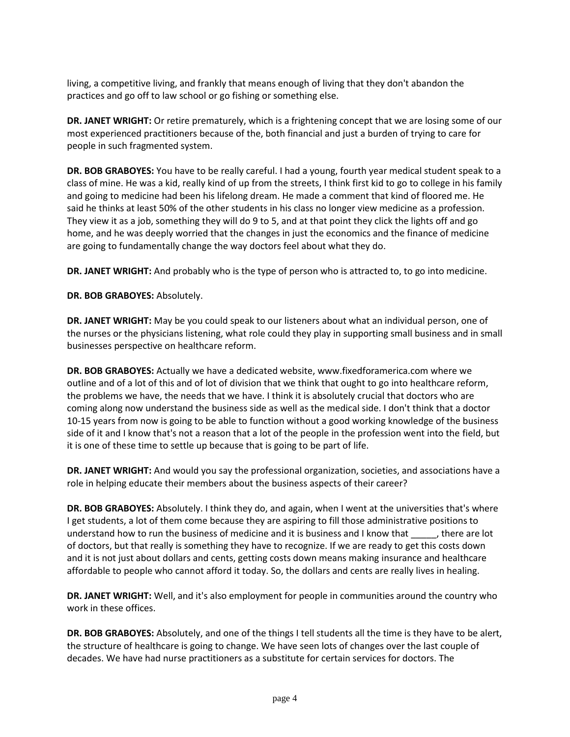living, a competitive living, and frankly that means enough of living that they don't abandon the practices and go off to law school or go fishing or something else.

**DR. JANET WRIGHT:** Or retire prematurely, which is a frightening concept that we are losing some of our most experienced practitioners because of the, both financial and just a burden of trying to care for people in such fragmented system.

**DR. BOB GRABOYES:** You have to be really careful. I had a young, fourth year medical student speak to a class of mine. He was a kid, really kind of up from the streets, I think first kid to go to college in his family and going to medicine had been his lifelong dream. He made a comment that kind of floored me. He said he thinks at least 50% of the other students in his class no longer view medicine as a profession. They view it as a job, something they will do 9 to 5, and at that point they click the lights off and go home, and he was deeply worried that the changes in just the economics and the finance of medicine are going to fundamentally change the way doctors feel about what they do.

**DR. JANET WRIGHT:** And probably who is the type of person who is attracted to, to go into medicine.

**DR. BOB GRABOYES:** Absolutely.

**DR. JANET WRIGHT:** May be you could speak to our listeners about what an individual person, one of the nurses or the physicians listening, what role could they play in supporting small business and in small businesses perspective on healthcare reform.

**DR. BOB GRABOYES:** Actually we have a dedicated website, www.fixedforamerica.com where we outline and of a lot of this and of lot of division that we think that ought to go into healthcare reform, the problems we have, the needs that we have. I think it is absolutely crucial that doctors who are coming along now understand the business side as well as the medical side. I don't think that a doctor 10-15 years from now is going to be able to function without a good working knowledge of the business side of it and I know that's not a reason that a lot of the people in the profession went into the field, but it is one of these time to settle up because that is going to be part of life.

**DR. JANET WRIGHT:** And would you say the professional organization, societies, and associations have a role in helping educate their members about the business aspects of their career?

**DR. BOB GRABOYES:** Absolutely. I think they do, and again, when I went at the universities that's where I get students, a lot of them come because they are aspiring to fill those administrative positions to understand how to run the business of medicine and it is business and I know that \_\_\_\_\_, there are lot of doctors, but that really is something they have to recognize. If we are ready to get this costs down and it is not just about dollars and cents, getting costs down means making insurance and healthcare affordable to people who cannot afford it today. So, the dollars and cents are really lives in healing.

**DR. JANET WRIGHT:** Well, and it's also employment for people in communities around the country who work in these offices.

**DR. BOB GRABOYES:** Absolutely, and one of the things I tell students all the time is they have to be alert, the structure of healthcare is going to change. We have seen lots of changes over the last couple of decades. We have had nurse practitioners as a substitute for certain services for doctors. The